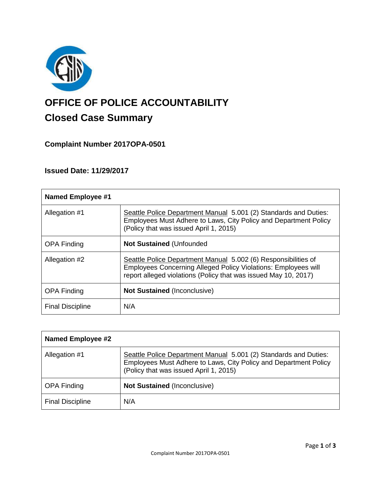

# **OFFICE OF POLICE ACCOUNTABILITY**

# **Closed Case Summary**

**Complaint Number 2017OPA-0501**

**Issued Date: 11/29/2017**

| <b>Named Employee #1</b> |                                                                                                                                                                                                     |
|--------------------------|-----------------------------------------------------------------------------------------------------------------------------------------------------------------------------------------------------|
| Allegation #1            | Seattle Police Department Manual 5.001 (2) Standards and Duties:<br>Employees Must Adhere to Laws, City Policy and Department Policy<br>(Policy that was issued April 1, 2015)                      |
| <b>OPA Finding</b>       | <b>Not Sustained (Unfounded</b>                                                                                                                                                                     |
| Allegation #2            | Seattle Police Department Manual 5.002 (6) Responsibilities of<br>Employees Concerning Alleged Policy Violations: Employees will<br>report alleged violations (Policy that was issued May 10, 2017) |
| <b>OPA Finding</b>       | <b>Not Sustained (Inconclusive)</b>                                                                                                                                                                 |
| <b>Final Discipline</b>  | N/A                                                                                                                                                                                                 |

| <b>Named Employee #2</b> |                                                                                                                                                                                |
|--------------------------|--------------------------------------------------------------------------------------------------------------------------------------------------------------------------------|
| Allegation #1            | Seattle Police Department Manual 5.001 (2) Standards and Duties:<br>Employees Must Adhere to Laws, City Policy and Department Policy<br>(Policy that was issued April 1, 2015) |
| <b>OPA Finding</b>       | <b>Not Sustained (Inconclusive)</b>                                                                                                                                            |
| <b>Final Discipline</b>  | N/A                                                                                                                                                                            |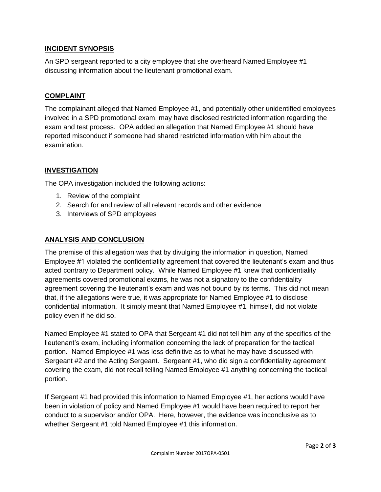# **INCIDENT SYNOPSIS**

An SPD sergeant reported to a city employee that she overheard Named Employee #1 discussing information about the lieutenant promotional exam.

# **COMPLAINT**

The complainant alleged that Named Employee #1, and potentially other unidentified employees involved in a SPD promotional exam, may have disclosed restricted information regarding the exam and test process. OPA added an allegation that Named Employee #1 should have reported misconduct if someone had shared restricted information with him about the examination.

# **INVESTIGATION**

The OPA investigation included the following actions:

- 1. Review of the complaint
- 2. Search for and review of all relevant records and other evidence
- 3. Interviews of SPD employees

# **ANALYSIS AND CONCLUSION**

The premise of this allegation was that by divulging the information in question, Named Employee #1 violated the confidentiality agreement that covered the lieutenant's exam and thus acted contrary to Department policy. While Named Employee #1 knew that confidentiality agreements covered promotional exams, he was not a signatory to the confidentiality agreement covering the lieutenant's exam and was not bound by its terms. This did not mean that, if the allegations were true, it was appropriate for Named Employee #1 to disclose confidential information. It simply meant that Named Employee #1, himself, did not violate policy even if he did so.

Named Employee #1 stated to OPA that Sergeant #1 did not tell him any of the specifics of the lieutenant's exam, including information concerning the lack of preparation for the tactical portion. Named Employee #1 was less definitive as to what he may have discussed with Sergeant #2 and the Acting Sergeant. Sergeant #1, who did sign a confidentiality agreement covering the exam, did not recall telling Named Employee #1 anything concerning the tactical portion.

If Sergeant #1 had provided this information to Named Employee #1, her actions would have been in violation of policy and Named Employee #1 would have been required to report her conduct to a supervisor and/or OPA. Here, however, the evidence was inconclusive as to whether Sergeant #1 told Named Employee #1 this information.